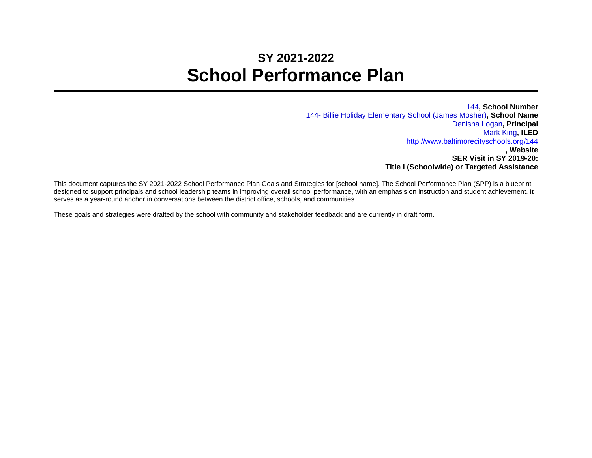## **SY 2021-2022 School Performance Plan**

144**, School Number** 144- Billie Holiday Elementary School (James Mosher)**, School Name** Denisha Logan**, Principal** Mark King**, ILED** <http://www.baltimorecityschools.org/144> **, Website SER Visit in SY 2019-20: Title I (Schoolwide) or Targeted Assistance**

This document captures the SY 2021-2022 School Performance Plan Goals and Strategies for [school name]. The School Performance Plan (SPP) is a blueprint designed to support principals and school leadership teams in improving overall school performance, with an emphasis on instruction and student achievement. It serves as a year-round anchor in conversations between the district office, schools, and communities.

These goals and strategies were drafted by the school with community and stakeholder feedback and are currently in draft form.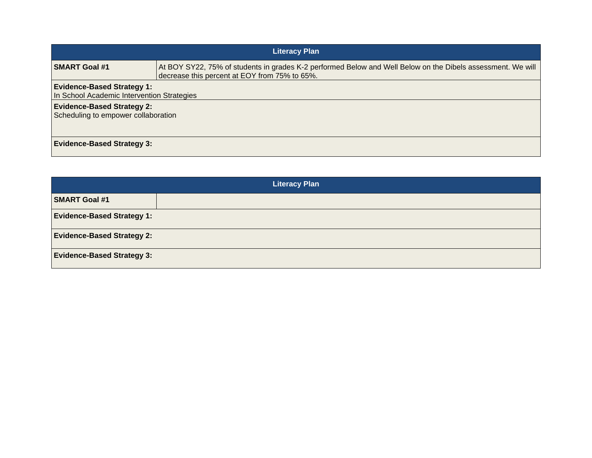| <b>Literacy Plan</b>                                                            |                                                                                                                                                              |  |
|---------------------------------------------------------------------------------|--------------------------------------------------------------------------------------------------------------------------------------------------------------|--|
| <b>SMART Goal #1</b>                                                            | At BOY SY22, 75% of students in grades K-2 performed Below and Well Below on the Dibels assessment. We will<br>decrease this percent at EOY from 75% to 65%. |  |
| <b>Evidence-Based Strategy 1:</b><br>In School Academic Intervention Strategies |                                                                                                                                                              |  |
| <b>Evidence-Based Strategy 2:</b><br>Scheduling to empower collaboration        |                                                                                                                                                              |  |
| <b>Evidence-Based Strategy 3:</b>                                               |                                                                                                                                                              |  |

| <b>Literacy Plan</b>              |  |  |
|-----------------------------------|--|--|
| <b>SMART Goal #1</b>              |  |  |
| <b>Evidence-Based Strategy 1:</b> |  |  |
| <b>Evidence-Based Strategy 2:</b> |  |  |
| <b>Evidence-Based Strategy 3:</b> |  |  |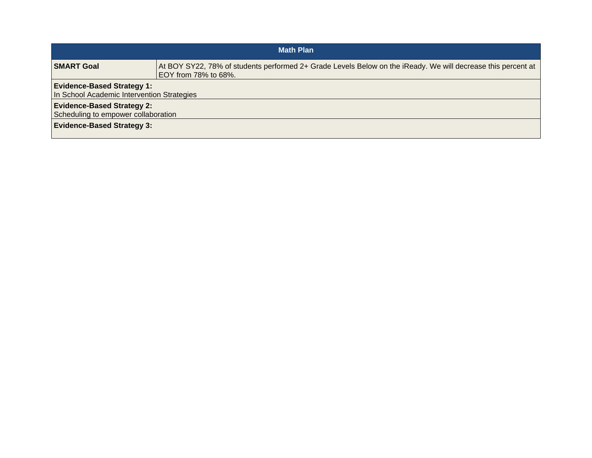| <b>Math Plan</b>                                                                                              |                                                                                                                                      |  |
|---------------------------------------------------------------------------------------------------------------|--------------------------------------------------------------------------------------------------------------------------------------|--|
| <b>SMART Goal</b>                                                                                             | At BOY SY22, 78% of students performed 2+ Grade Levels Below on the iReady. We will decrease this percent at<br>EOY from 78% to 68%. |  |
| <b>Evidence-Based Strategy 1:</b><br>In School Academic Intervention Strategies                               |                                                                                                                                      |  |
| <b>Evidence-Based Strategy 2:</b><br>Scheduling to empower collaboration<br><b>Evidence-Based Strategy 3:</b> |                                                                                                                                      |  |
|                                                                                                               |                                                                                                                                      |  |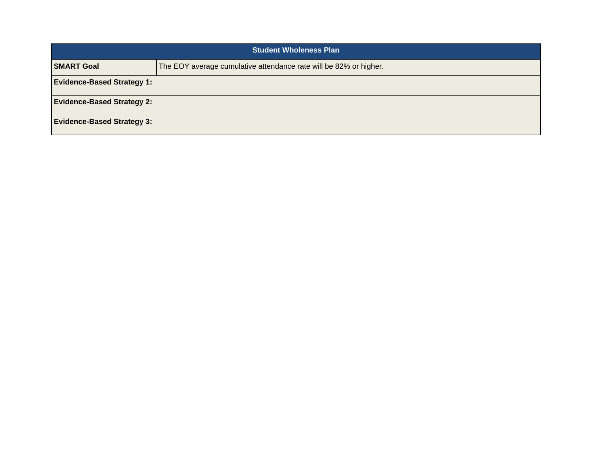| <b>Student Wholeness Plan</b>     |                                                                   |
|-----------------------------------|-------------------------------------------------------------------|
| <b>SMART Goal</b>                 | The EOY average cumulative attendance rate will be 82% or higher. |
| <b>Evidence-Based Strategy 1:</b> |                                                                   |
| <b>Evidence-Based Strategy 2:</b> |                                                                   |
| <b>Evidence-Based Strategy 3:</b> |                                                                   |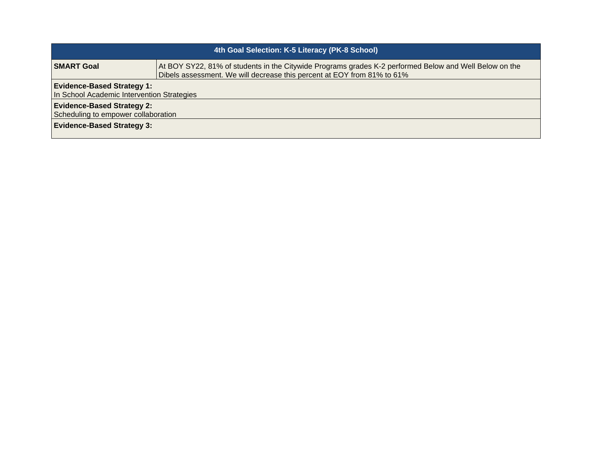| 4th Goal Selection: K-5 Literacy (PK-8 School)                                  |                                                                                                                                                                                   |  |
|---------------------------------------------------------------------------------|-----------------------------------------------------------------------------------------------------------------------------------------------------------------------------------|--|
| <b>SMART Goal</b>                                                               | At BOY SY22, 81% of students in the Citywide Programs grades K-2 performed Below and Well Below on the<br>Dibels assessment. We will decrease this percent at EOY from 81% to 61% |  |
| <b>Evidence-Based Strategy 1:</b><br>In School Academic Intervention Strategies |                                                                                                                                                                                   |  |
| <b>Evidence-Based Strategy 2:</b><br>Scheduling to empower collaboration        |                                                                                                                                                                                   |  |
| <b>Evidence-Based Strategy 3:</b>                                               |                                                                                                                                                                                   |  |